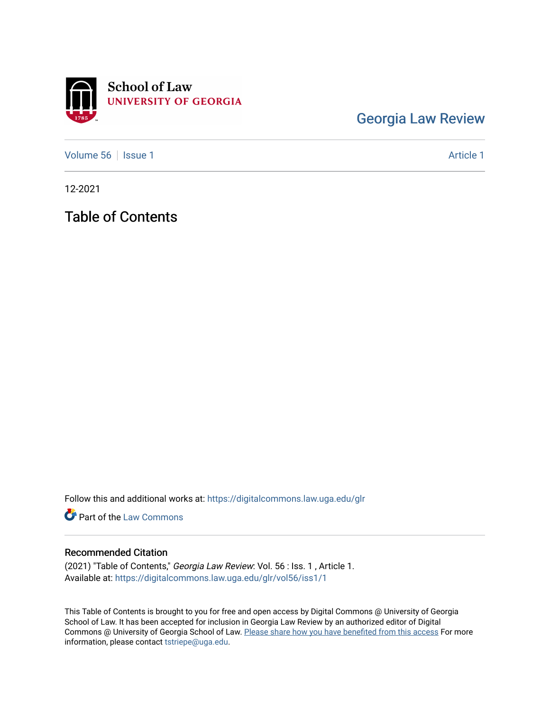

[Georgia Law Review](https://digitalcommons.law.uga.edu/glr) 

[Volume 56](https://digitalcommons.law.uga.edu/glr/vol56) | [Issue 1](https://digitalcommons.law.uga.edu/glr/vol56/iss1) Article 1

12-2021

Table of Contents

Follow this and additional works at: [https://digitalcommons.law.uga.edu/glr](https://digitalcommons.law.uga.edu/glr?utm_source=digitalcommons.law.uga.edu%2Fglr%2Fvol56%2Fiss1%2F1&utm_medium=PDF&utm_campaign=PDFCoverPages) 

**Part of the [Law Commons](http://network.bepress.com/hgg/discipline/578?utm_source=digitalcommons.law.uga.edu%2Fglr%2Fvol56%2Fiss1%2F1&utm_medium=PDF&utm_campaign=PDFCoverPages)** 

### Recommended Citation

(2021) "Table of Contents," Georgia Law Review: Vol. 56 : Iss. 1 , Article 1. Available at: [https://digitalcommons.law.uga.edu/glr/vol56/iss1/1](https://digitalcommons.law.uga.edu/glr/vol56/iss1/1?utm_source=digitalcommons.law.uga.edu%2Fglr%2Fvol56%2Fiss1%2F1&utm_medium=PDF&utm_campaign=PDFCoverPages)

This Table of Contents is brought to you for free and open access by Digital Commons @ University of Georgia School of Law. It has been accepted for inclusion in Georgia Law Review by an authorized editor of Digital Commons @ University of Georgia School of Law. [Please share how you have benefited from this access](https://docs.google.com/forms/d/e/1FAIpQLSc_7JxpD4JNSJyX6RwtrWT9ZyH0ZZhUyG3XrFAJV-kf1AGk6g/viewform) For more information, please contact [tstriepe@uga.edu](mailto:tstriepe@uga.edu).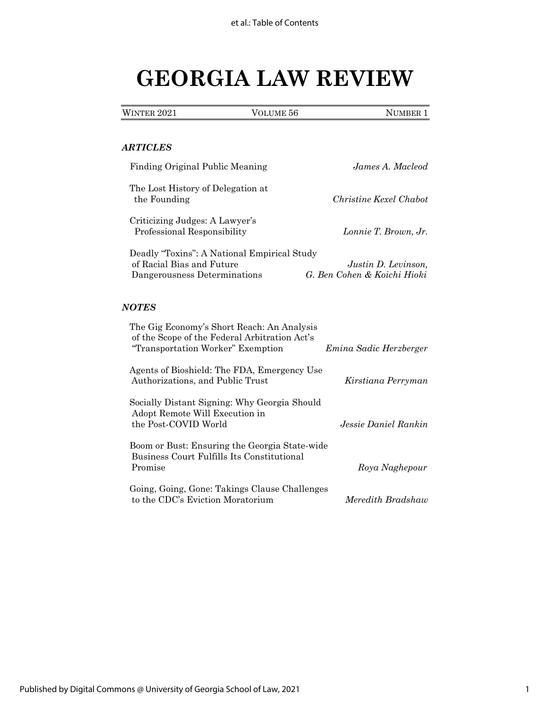# **GEORGIA LAW REVIEW**

|  | <b>WINTER 2021</b> | VOLUME 56 | NUMBER <sub>1</sub> |
|--|--------------------|-----------|---------------------|
|--|--------------------|-----------|---------------------|

### *ARTICLES*

| Finding Original Public Meaning                                                                                                  | James A. Macleod                                   |
|----------------------------------------------------------------------------------------------------------------------------------|----------------------------------------------------|
| The Lost History of Delegation at<br>the Founding                                                                                | Christine Kexel Chabot                             |
| Criticizing Judges: A Lawyer's<br>Professional Responsibility                                                                    | Lonnie T. Brown, Jr.                               |
| Deadly "Toxins": A National Empirical Study<br>of Racial Bias and Future<br>Dangerousness Determinations                         | Justin D. Levinson,<br>G. Ben Cohen & Koichi Hioki |
| <b>NOTES</b>                                                                                                                     |                                                    |
| The Gig Economy's Short Reach: An Analysis<br>of the Scope of the Federal Arbitration Act's<br>"Transportation Worker" Exemption | Emina Sadic Herzberger                             |
| Agents of Bioshield: The FDA, Emergency Use<br>Authorizations, and Public Trust                                                  | Kirstiana Perryman                                 |
| Socially Distant Signing: Why Georgia Should<br>Adopt Remote Will Execution in<br>the Post-COVID World                           | Jessie Daniel Rankin                               |
| Boom or Bust: Ensuring the Georgia State-wide<br>Business Court Fulfills Its Constitutional<br>Promise                           | Roya Naghepour                                     |
| Going, Going, Gone: Takings Clause Challenges<br>to the CDC's Eviction Moratorium                                                | Meredith Bradshaw                                  |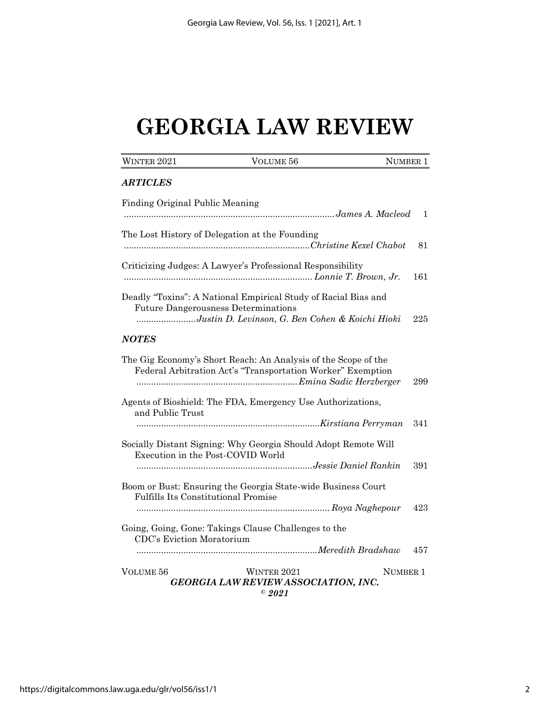# **GEORGIA LAW REVIEW**

| WINTER 2021                                | VOLUME 56                                                                                                                                                       | NUMBER 1 |
|--------------------------------------------|-----------------------------------------------------------------------------------------------------------------------------------------------------------------|----------|
| <b>ARTICLES</b>                            |                                                                                                                                                                 |          |
| Finding Original Public Meaning            |                                                                                                                                                                 | 1        |
|                                            | The Lost History of Delegation at the Founding                                                                                                                  | 81       |
|                                            | Criticizing Judges: A Lawyer's Professional Responsibility                                                                                                      | 161      |
|                                            | Deadly "Toxins": A National Empirical Study of Racial Bias and<br><b>Future Dangerousness Determinations</b><br>Justin D. Levinson, G. Ben Cohen & Koichi Hioki | 225      |
| <b>NOTES</b>                               |                                                                                                                                                                 |          |
|                                            | The Gig Economy's Short Reach: An Analysis of the Scope of the<br>Federal Arbitration Act's "Transportation Worker" Exemption                                   | 299      |
| and Public Trust                           | Agents of Bioshield: The FDA, Emergency Use Authorizations,                                                                                                     |          |
|                                            |                                                                                                                                                                 | 341      |
|                                            | Socially Distant Signing: Why Georgia Should Adopt Remote Will<br>Execution in the Post-COVID World                                                             |          |
|                                            |                                                                                                                                                                 | 391      |
| <b>Fulfills Its Constitutional Promise</b> | Boom or Bust: Ensuring the Georgia State-wide Business Court                                                                                                    |          |
|                                            |                                                                                                                                                                 | 423      |
| CDC's Eviction Moratorium                  | Going, Going, Gone: Takings Clause Challenges to the                                                                                                            |          |
|                                            |                                                                                                                                                                 | 457      |
| VOLUME 56                                  | WINTER 2021<br><b>GEORGIA LAW REVIEW ASSOCIATION, INC.</b><br>$^\circ$ 2021                                                                                     | NUMBER 1 |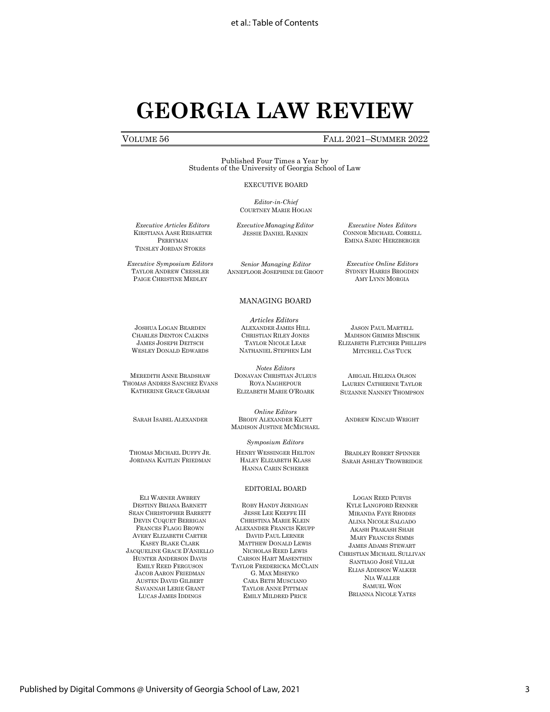## **GEORGIA LAW REVIEW**

### VOLUME 56 FALL 2021–SUMMER 2022

*Executive Notes Editors* CONNOR MICHAEL CORRELL EMINA SADIC HERZBERGER

*Executive Online Editors* SYDNEY HARRIS BROGDEN AMY LYNN MORGIA

Published Four Times a Year by Students of the University of Georgia School of Law

#### EXECUTIVE BOARD

*Editor-in-Chief* COURTNEY MARIE HOGAN

*ExecutiveManagingEditor* JESSIE DANIEL RANKIN

*Executive Articles Editors* KIRSTIANA AASE REISAETER PERRYMAN TINSLEY JORDAN STOKES

*Executive Symposium Editors* TAYLOR ANDREW CRESSLER PAIGE CHRISTINE MEDLEY

JOSHUA LOGAN BEARDEN CHARLES DENTON CALKINS JAMES JOSEPH DEITSCH WESLEY DONALD EDWARDS

*Senior Managing Editor* ANNEFLOOR JOSEPHINE DE GROOT

MANAGING BOARD

#### *Articles Editors* ALEXANDER JAMES HILL CHRISTIAN RILEY JONES TAYLOR NICOLE LEAR

NATHANIEL STEPHEN LIM

*Notes Editors*

DONAVAN CHRISTIAN JULEUS ROYA NAGHEPOUR ELIZABETH MARIE O'ROARK

*Online Editors*

MADISON JUSTINE MCMICHAEL

*Symposium Editors*

HENRY WESSINGER HELTON HALEY ELIZABETH KLASS HANNA CARIN SCHERER

EDITORIAL BOARD

ROBY HANDY JERNIGAN JESSE LEE KEEFFE III CHRISTINA MARIE KLEIN ALEXANDER FRANCIS KRUPP DAVID PAUL LERNER MATTHEW DONALD LEWIS NICHOLAS REED LEWIS CARSON HART MASENTHIN TAYLOR FREDERICKA MCCLAIN G. MAX MISEYKO CARA BETH MUSCIANO TAYLOR ANNE PITTMAN EMILY MILDRED PRICE

MEREDITH ANNE BRADSHAW THOMAS ANDRES SANCHEZ EVANS KATHERINE GRACE GRAHAM

SARAH ISABEL ALEXANDER BRODY ALEXANDER KLETT

THOMAS MICHAEL DUFFY JR. JORDANA KAITLIN FRIEDMAN

ELI WARNER AWBREY DESTINY BRIANA BARNETT SEAN CHRISTOPHER BARRETT DEVIN CUQUET BERRIGAN FRANCES FLAGG BROWN AVERY ELIZABETH CARTER KASEY BLAKE CLARK JACQUELINE GRACE D'ANIELLO HUNTER ANDERSON DAVIS EMILY REED FERGUSON JACOB AARON FRIEDMAN AUSTEN DAVID GILBERT SAVANNAH LERIE GRANT LUCAS JAMES IDDINGS

JASON PAUL MARTELL MADISON GRIMES MISCHIK ELIZABETH FLETCHER PHILLIPS MITCHELL CAS TUCK

ABIGAIL HELENA OLSON LAUREN CATHERINE TAYLOR SUZANNE NANNEY THOMPSON

ANDREW KINCAID WRIGHT

BRADLEY ROBERT SPINNER SARAH ASHLEY TROWBRIDGE

LOGAN REED PURVIS KYLE LANGFORD RENNER MIRANDA FAYE RHODES ALINA NICOLE SALGADO AKASH PRAKASH SHAH MARY FRANCES SIMMS JAMES ADAMS STEWART CHRISTIAN MICHAEL SULLIVAN SANTIAGO JOSÉ VILLAR ELIAS ADDISON WALKER NIA WALLER SAMUEL WON BRIANNA NICOLE YATES